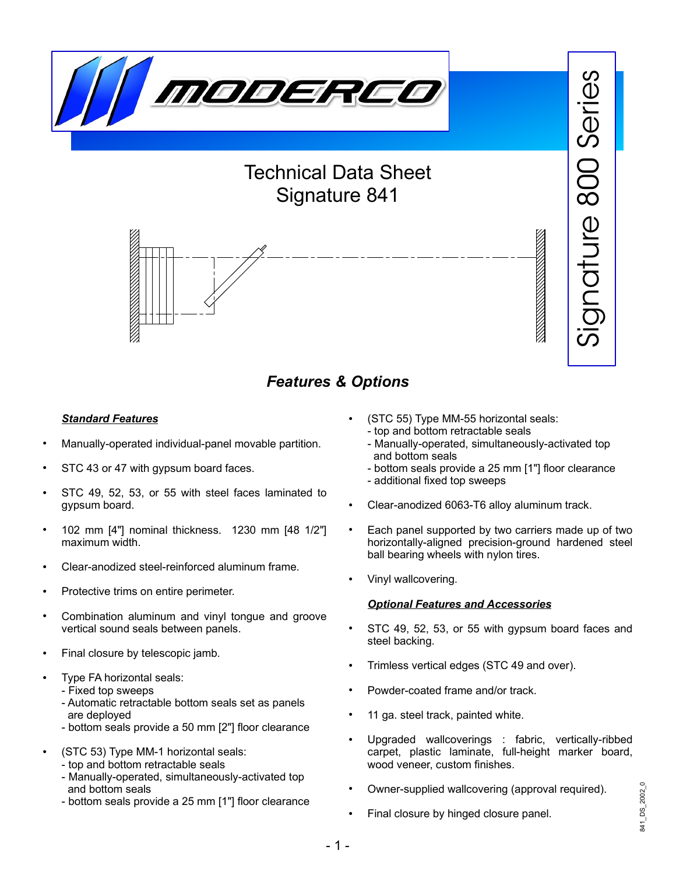

# Technical Data Sheet Signature 841



# *Features & Options*

### *Standard Features*

- Manually-operated individual-panel movable partition.
- STC 43 or 47 with gypsum board faces.
- STC 49, 52, 53, or 55 with steel faces laminated to gypsum board.
- 102 mm [4"] nominal thickness. 1230 mm [48 1/2"] maximum width.
- Clear-anodized steel-reinforced aluminum frame.
- Protective trims on entire perimeter.
- Combination aluminum and vinyl tongue and groove vertical sound seals between panels.
- Final closure by telescopic jamb.
- Type FA horizontal seals:
	- Fixed top sweeps
	- Automatic retractable bottom seals set as panels are deployed
	- bottom seals provide a 50 mm [2"] floor clearance
- (STC 53) Type MM-1 horizontal seals:
	- top and bottom retractable seals
	- Manually-operated, simultaneously-activated top and bottom seals
	- bottom seals provide a 25 mm [1"] floor clearance
- (STC 55) Type MM-55 horizontal seals: - top and bottom retractable seals
	- Manually-operated, simultaneously-activated top and bottom seals

 $\overline{\mathbb{S}}$ 

841\_DS\_2002\_0

341\_DS\_2002\_

 $\subset$  $\mathbf{\overline{O}}$  $\hspace{.01cm} +\hspace{.01cm}$  $\beth$ 

 $\underline{\mathbb{O}}$ 

 $\infty$  $\bigcirc$  $\bigcirc$ 

 $\mathcal O$  $\mathbb O$ 

rie

ၯ

- bottom seals provide a 25 mm [1"] floor clearance
- additional fixed top sweeps
- Clear-anodized 6063-T6 alloy aluminum track.
- Each panel supported by two carriers made up of two horizontally-aligned precision-ground hardened steel ball bearing wheels with nylon tires.
- Vinyl wallcovering.

### *Optional Features and Accessories*

- STC 49, 52, 53, or 55 with gypsum board faces and steel backing.
- Trimless vertical edges (STC 49 and over).
- Powder-coated frame and/or track.
- 11 ga. steel track, painted white.
- Upgraded wallcoverings : fabric, vertically-ribbed carpet, plastic laminate, full-height marker board, wood veneer, custom finishes.
- Owner-supplied wallcovering (approval required).
- Final closure by hinged closure panel.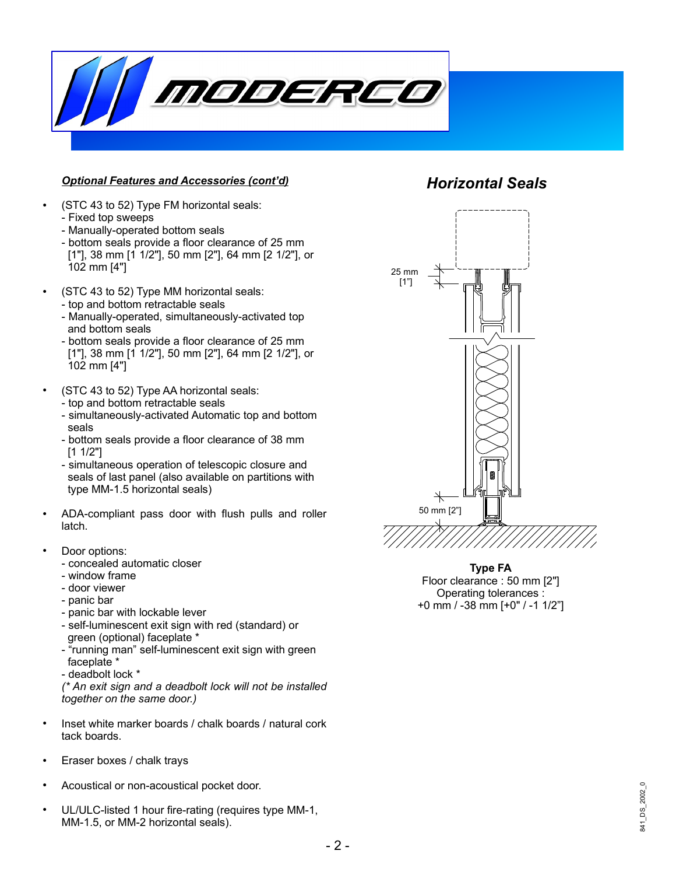

#### *Optional Features and Accessories (cont'd)*

- (STC 43 to 52) Type FM horizontal seals: - Fixed top sweeps
	- Manually-operated bottom seals
	- bottom seals provide a floor clearance of 25 mm [1"], 38 mm [1 1/2"], 50 mm [2"], 64 mm [2 1/2"], or 102 mm [4"]
- (STC 43 to 52) Type MM horizontal seals: - top and bottom retractable seals
	- Manually-operated, simultaneously-activated top and bottom seals
	- bottom seals provide a floor clearance of 25 mm [1"], 38 mm [1 1/2"], 50 mm [2"], 64 mm [2 1/2"], or 102 mm [4"]
- (STC 43 to 52) Type AA horizontal seals:
	- top and bottom retractable seals
	- simultaneously-activated Automatic top and bottom seals
	- bottom seals provide a floor clearance of 38 mm [1 1/2"]
	- simultaneous operation of telescopic closure and seals of last panel (also available on partitions with type MM-1.5 horizontal seals)
- ADA-compliant pass door with flush pulls and roller latch.
	- Door options:
		- concealed automatic closer
	- window frame
	- door viewer
	- panic bar
	- panic bar with lockable lever
	- self-luminescent exit sign with red (standard) or green (optional) faceplate \*
	- "running man" self-luminescent exit sign with green faceplate \*
	- deadbolt lock \*

*(\* An exit sign and a deadbolt lock will not be installed together on the same door.)*

- Inset white marker boards / chalk boards / natural cork tack boards.
- Eraser boxes / chalk trays
- Acoustical or non-acoustical pocket door.
- UL/ULC-listed 1 hour fire-rating (requires type MM-1, MM-1.5, or MM-2 horizontal seals).

## *Horizontal Seals*



**Type FA** Floor clearance : 50 mm [2"] Operating tolerances : +0 mm / -38 mm [+0" / -1 1/2"]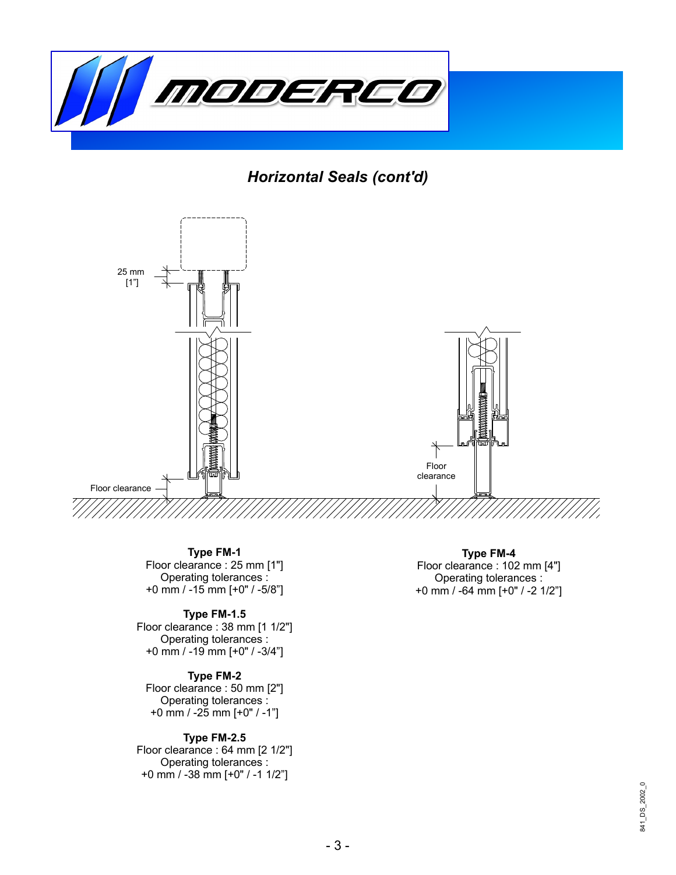

*Horizontal Seals (cont'd)*



**Type FM-1** Floor clearance : 25 mm [1"] Operating tolerances : +0 mm / -15 mm [+0" / -5/8"]

#### **Type FM-1.5**

Floor clearance : 38 mm [1 1/2"] Operating tolerances : +0 mm / -19 mm [+0" / -3/4"]

#### **Type FM-2**

Floor clearance : 50 mm [2"] Operating tolerances : +0 mm / -25 mm [+0" / -1"]

#### **Type FM-2.5**

Floor clearance : 64 mm [2 1/2"] Operating tolerances : +0 mm / -38 mm [+0" / -1 1/2"]

**Type FM-4** Floor clearance : 102 mm [4"] Operating tolerances : +0 mm / -64 mm [+0" / -2 1/2"]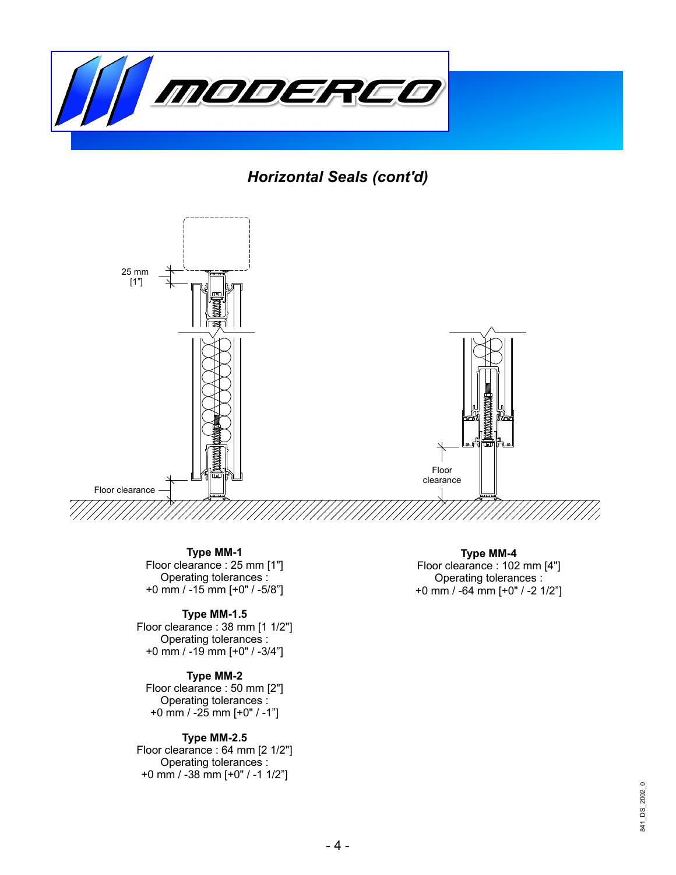

*Horizontal Seals (cont'd)*



**Type MM-1** Floor clearance : 25 mm [1"] Operating tolerances : +0 mm / -15 mm [+0" / -5/8"]

#### **Type MM-1.5**

Floor clearance : 38 mm [1 1/2"] Operating tolerances : +0 mm / -19 mm [+0" / -3/4"]

#### **Type MM-2**

Floor clearance : 50 mm [2"] Operating tolerances : +0 mm / -25 mm [+0" / -1"]

#### **Type MM-2.5**

Floor clearance : 64 mm [2 1/2"] Operating tolerances : +0 mm / -38 mm [+0" / -1 1/2"]

**Type MM-4** Floor clearance : 102 mm [4"] Operating tolerances : +0 mm / -64 mm [+0" / -2 1/2"]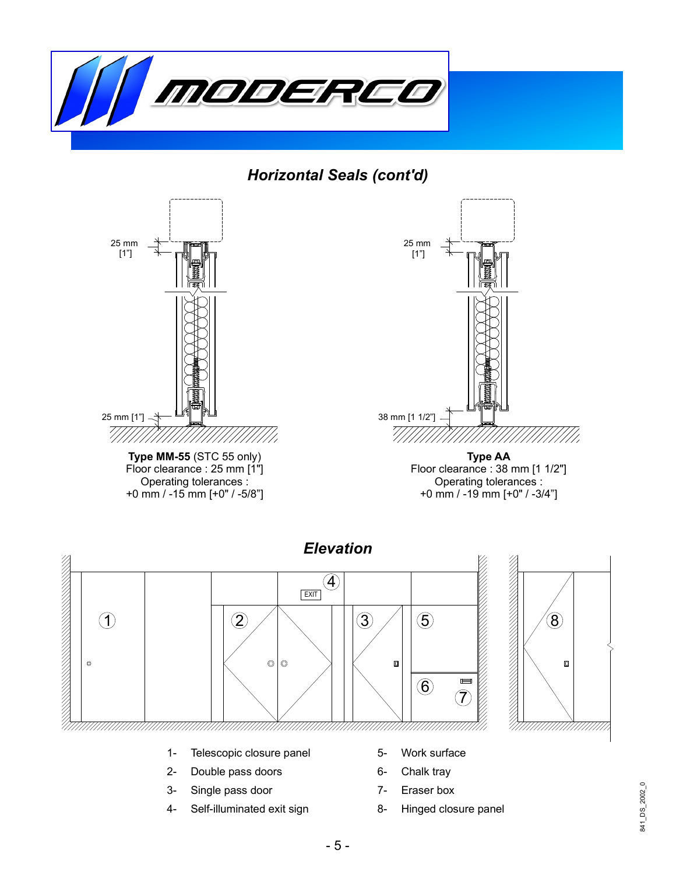

*Horizontal Seals (cont'd)*





- 2- Double pass doors
- 3- Single pass door
- 4- Self-illuminated exit sign
- 6- Chalk tray
- 7- Eraser box
- 8- Hinged closure panel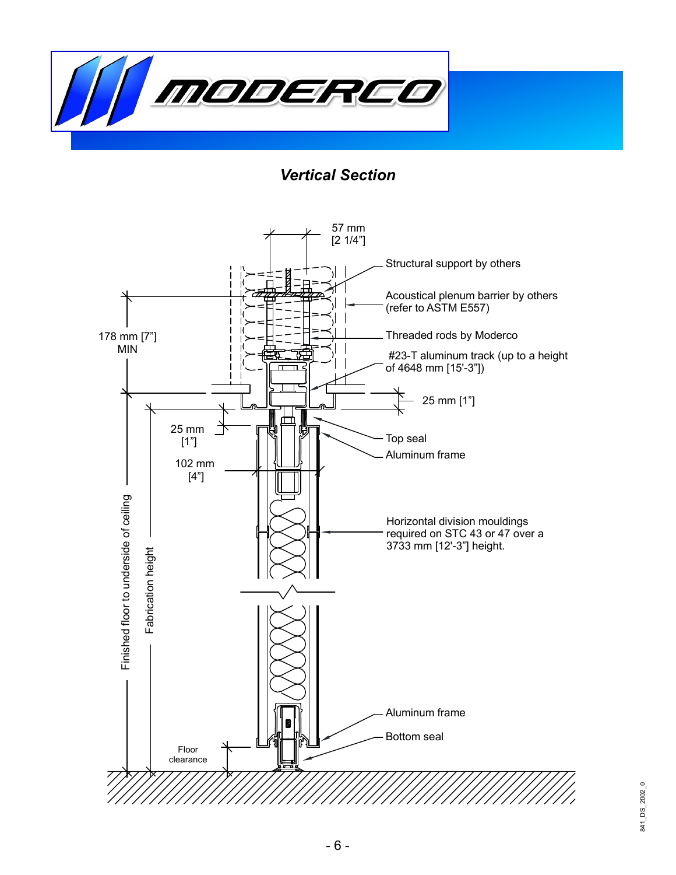

*Vertical Section*

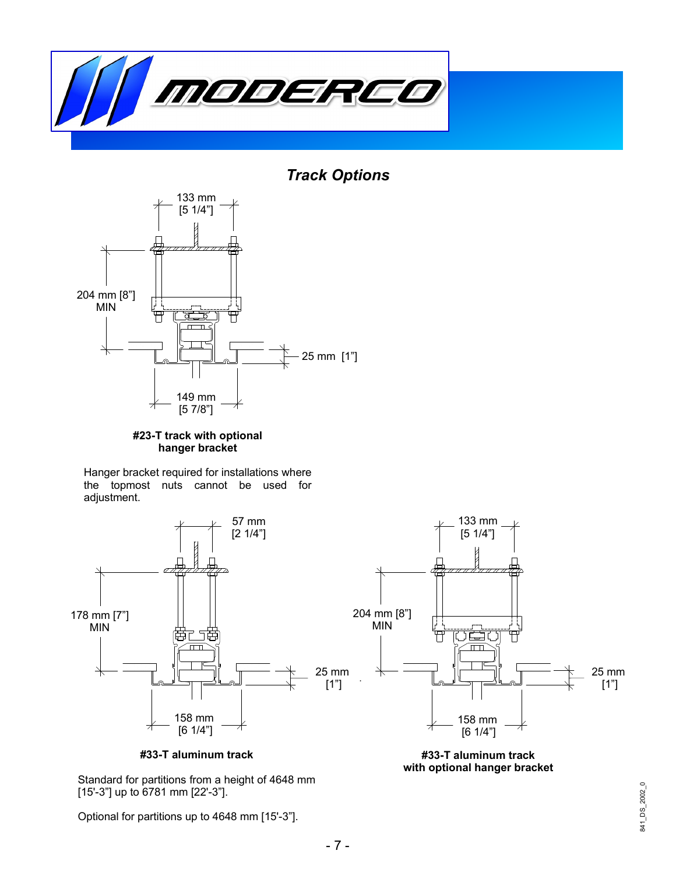

*Track Options*



. . **#23-T track with optional hanger bracket**

Hanger bracket required for installations where the topmost nuts cannot be used for adjustment.



**#33-T aluminum track**

Standard for partitions from a height of 4648 mm [15'-3"] up to 6781 mm [22'-3"].

Optional for partitions up to 4648 mm [15'-3"].

**#33-T aluminum track with optional hanger bracket**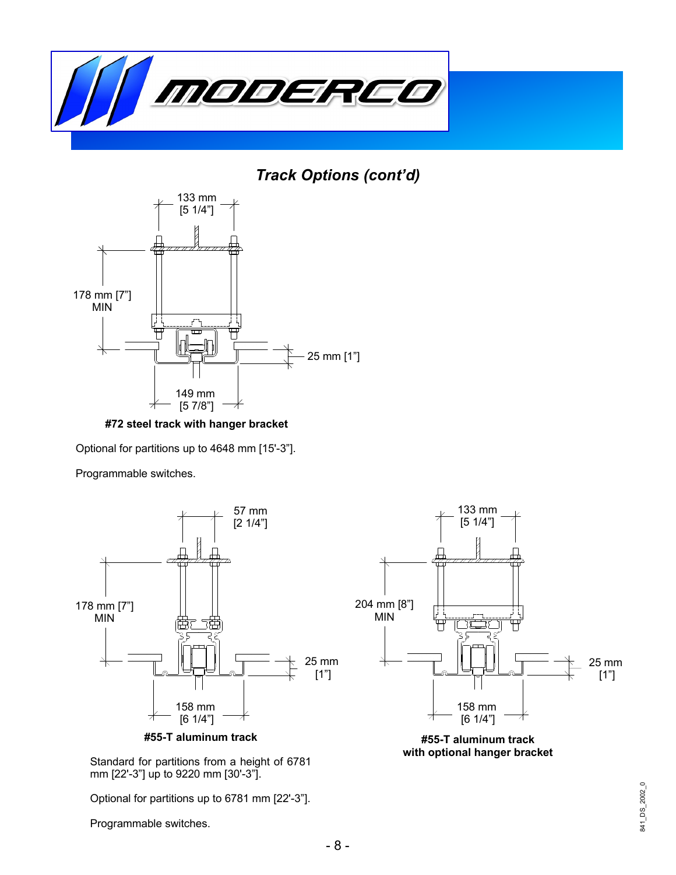

*Track Options (cont'd)*



. . **#72 steel track with hanger bracket**

Optional for partitions up to 4648 mm [15'-3"].

Programmable switches.





Optional for partitions up to 6781 mm [22'-3"].

Programmable switches.



**#55-T aluminum track with optional hanger bracket**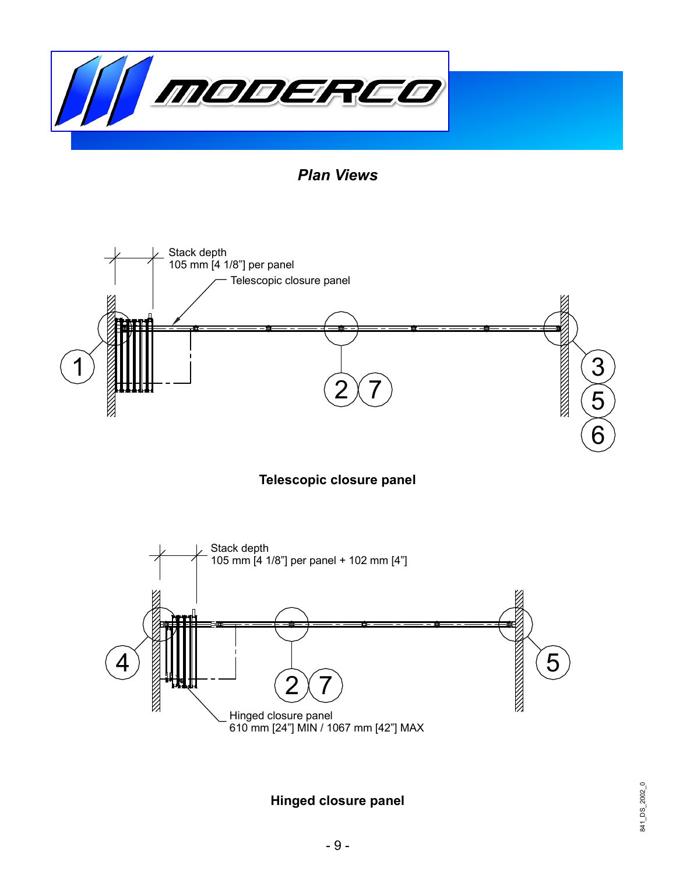

*Plan Views*







**Hinged closure panel**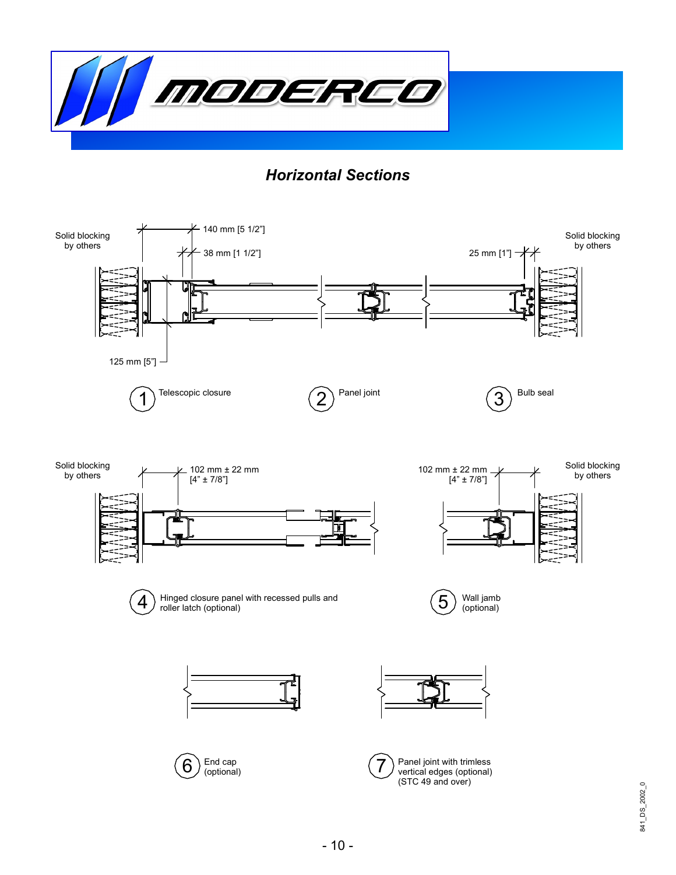

## *Horizontal Sections*

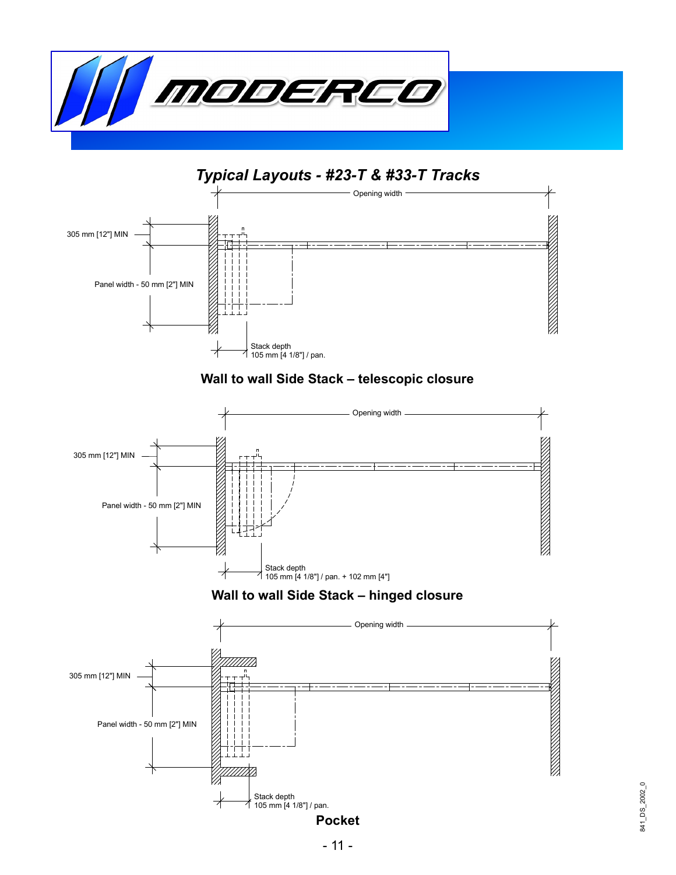



## **Wall to wall Side Stack – telescopic closure**



## **Wall to wall Side Stack – hinged closure**

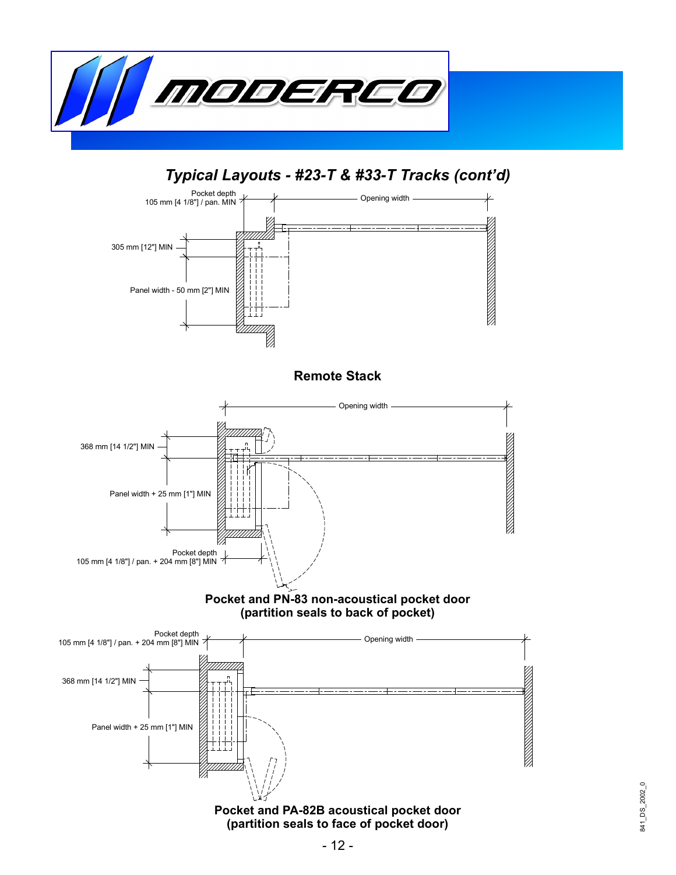

## *Typical Layouts - #23-T & #33-T Tracks (cont'd)*



## **Pocket and PN-83 non-acoustical pocket door (partition seals to back of pocket)**

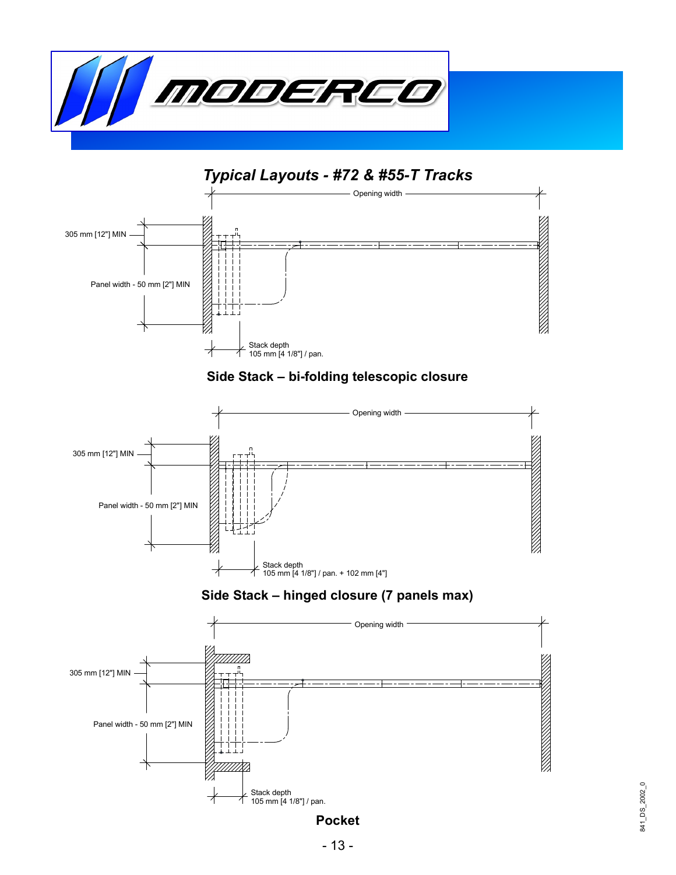





## **Side Stack – hinged closure (7 panels max)**



## **Pocket**